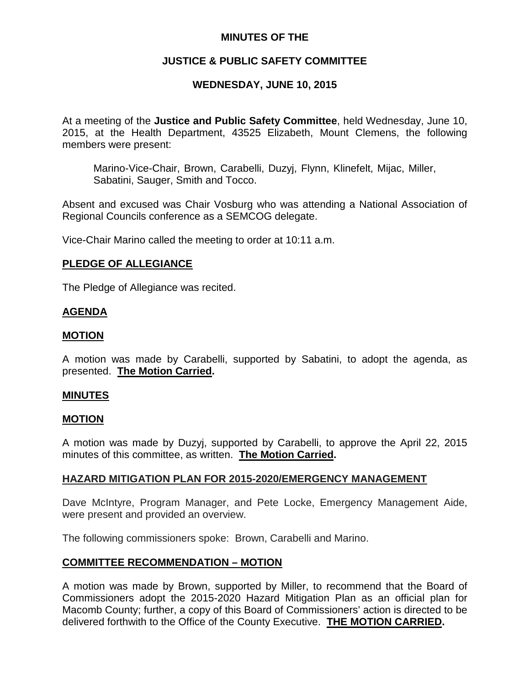### **MINUTES OF THE**

## **JUSTICE & PUBLIC SAFETY COMMITTEE**

# **WEDNESDAY, JUNE 10, 2015**

At a meeting of the **Justice and Public Safety Committee**, held Wednesday, June 10, 2015, at the Health Department, 43525 Elizabeth, Mount Clemens, the following members were present:

Marino-Vice-Chair, Brown, Carabelli, Duzyj, Flynn, Klinefelt, Mijac, Miller, Sabatini, Sauger, Smith and Tocco.

Absent and excused was Chair Vosburg who was attending a National Association of Regional Councils conference as a SEMCOG delegate.

Vice-Chair Marino called the meeting to order at 10:11 a.m.

### **PLEDGE OF ALLEGIANCE**

The Pledge of Allegiance was recited.

### **AGENDA**

### **MOTION**

A motion was made by Carabelli, supported by Sabatini, to adopt the agenda, as presented. **The Motion Carried.**

#### **MINUTES**

#### **MOTION**

A motion was made by Duzyj, supported by Carabelli, to approve the April 22, 2015 minutes of this committee, as written. **The Motion Carried.**

### **HAZARD MITIGATION PLAN FOR 2015-2020/EMERGENCY MANAGEMENT**

Dave McIntyre, Program Manager, and Pete Locke, Emergency Management Aide, were present and provided an overview.

The following commissioners spoke: Brown, Carabelli and Marino.

### **COMMITTEE RECOMMENDATION – MOTION**

A motion was made by Brown, supported by Miller, to recommend that the Board of Commissioners adopt the 2015-2020 Hazard Mitigation Plan as an official plan for Macomb County; further, a copy of this Board of Commissioners' action is directed to be delivered forthwith to the Office of the County Executive. **THE MOTION CARRIED.**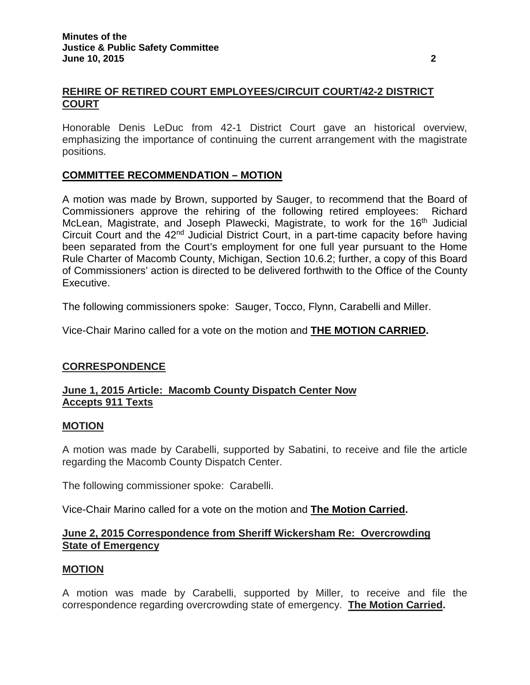## **REHIRE OF RETIRED COURT EMPLOYEES/CIRCUIT COURT/42-2 DISTRICT COURT**

Honorable Denis LeDuc from 42-1 District Court gave an historical overview, emphasizing the importance of continuing the current arrangement with the magistrate positions.

# **COMMITTEE RECOMMENDATION – MOTION**

A motion was made by Brown, supported by Sauger, to recommend that the Board of Commissioners approve the rehiring of the following retired employees: Richard McLean, Magistrate, and Joseph Plawecki, Magistrate, to work for the 16<sup>th</sup> Judicial Circuit Court and the 42<sup>nd</sup> Judicial District Court, in a part-time capacity before having been separated from the Court's employment for one full year pursuant to the Home Rule Charter of Macomb County, Michigan, Section 10.6.2; further, a copy of this Board of Commissioners' action is directed to be delivered forthwith to the Office of the County Executive.

The following commissioners spoke: Sauger, Tocco, Flynn, Carabelli and Miller.

Vice-Chair Marino called for a vote on the motion and **THE MOTION CARRIED.**

### **CORRESPONDENCE**

#### **June 1, 2015 Article: Macomb County Dispatch Center Now Accepts 911 Texts**

#### **MOTION**

A motion was made by Carabelli, supported by Sabatini, to receive and file the article regarding the Macomb County Dispatch Center.

The following commissioner spoke: Carabelli.

Vice-Chair Marino called for a vote on the motion and **The Motion Carried.**

#### **June 2, 2015 Correspondence from Sheriff Wickersham Re: Overcrowding State of Emergency**

#### **MOTION**

A motion was made by Carabelli, supported by Miller, to receive and file the correspondence regarding overcrowding state of emergency. **The Motion Carried.**